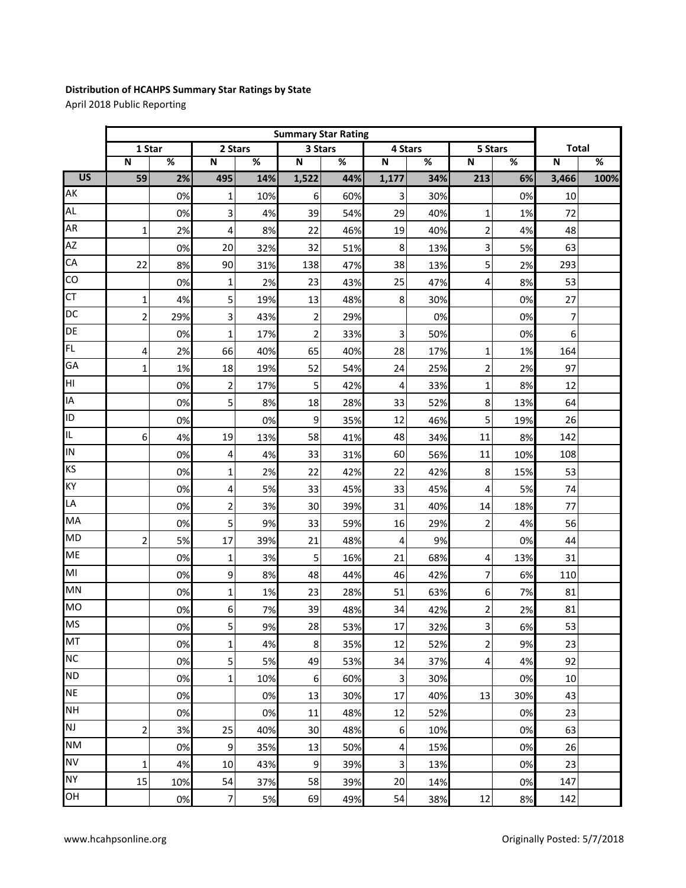## **Distribution of HCAHPS Summary Star Ratings by State**

April 2018 Public Reporting

|                 | <b>Summary Star Rating</b> |     |                |     |                         |                          |                         |     |                |     |                         |      |
|-----------------|----------------------------|-----|----------------|-----|-------------------------|--------------------------|-------------------------|-----|----------------|-----|-------------------------|------|
|                 | 1 Star                     |     | 2 Stars        |     | 3 Stars                 |                          | 4 Stars                 |     | 5 Stars        |     | <b>Total</b>            |      |
|                 | $\overline{\mathsf{N}}$    | %   | $\mathsf N$    | %   | $\overline{\mathsf{N}}$ | $\overline{\mathscr{C}}$ | $\overline{\mathsf{N}}$ | %   | ${\sf N}$      | %   | $\overline{\mathsf{N}}$ | $\%$ |
| $\overline{US}$ | 59                         | 2%  | 495            | 14% | 1,522                   | 44%                      | 1,177                   | 34% | 213            | 6%  | 3,466                   | 100% |
| AK              |                            | 0%  | $\mathbf 1$    | 10% | 6                       | 60%                      | 3                       | 30% |                | 0%  | 10                      |      |
| <b>AL</b>       |                            | 0%  | 3              | 4%  | 39                      | 54%                      | 29                      | 40% | 1              | 1%  | 72                      |      |
| AR              | $\mathbf{1}$               | 2%  | 4              | 8%  | 22                      | 46%                      | 19                      | 40% | $\overline{c}$ | 4%  | 48                      |      |
| <b>AZ</b>       |                            | 0%  | 20             | 32% | 32                      | 51%                      | 8                       | 13% | 3              | 5%  | 63                      |      |
| CA              | 22                         | 8%  | 90             | 31% | 138                     | 47%                      | 38                      | 13% | 5 <sup>1</sup> | 2%  | 293                     |      |
| $\overline{c}$  |                            | 0%  | $\mathbf 1$    | 2%  | 23                      | 43%                      | 25                      | 47% | 4              | 8%  | 53                      |      |
| <b>CT</b>       | $\mathbf 1$                | 4%  | 5              | 19% | 13                      | 48%                      | 8                       | 30% |                | 0%  | 27                      |      |
| DC              | $\overline{2}$             | 29% | 3              | 43% | $\overline{2}$          | 29%                      |                         | 0%  |                | 0%  | 7                       |      |
| DE              |                            | 0%  | $\mathbf 1$    | 17% | $\overline{2}$          | 33%                      | 3                       | 50% |                | 0%  | 6                       |      |
| FL.             | 4                          | 2%  | 66             | 40% | 65                      | 40%                      | 28                      | 17% | 1              | 1%  | 164                     |      |
| GA              | 1                          | 1%  | 18             | 19% | 52                      | 54%                      | 24                      | 25% | $\overline{c}$ | 2%  | 97                      |      |
| НI              |                            | 0%  | $\overline{c}$ | 17% | 5                       | 42%                      | 4                       | 33% | 1              | 8%  | 12                      |      |
| IA              |                            | 0%  | 5              | 8%  | 18                      | 28%                      | 33                      | 52% | 8              | 13% | 64                      |      |
| ID              |                            | 0%  |                | 0%  | 9                       | 35%                      | 12                      | 46% | 5              | 19% | 26                      |      |
| IL              | 6                          | 4%  | 19             | 13% | 58                      | 41%                      | 48                      | 34% | 11             | 8%  | 142                     |      |
| IN              |                            | 0%  | 4              | 4%  | 33                      | 31%                      | 60                      | 56% | 11             | 10% | 108                     |      |
| KS              |                            | 0%  | 1              | 2%  | 22                      | 42%                      | 22                      | 42% | 8              | 15% | 53                      |      |
| KY              |                            | 0%  | 4              | 5%  | 33                      | 45%                      | 33                      | 45% | 4              | 5%  | 74                      |      |
| LA              |                            | 0%  | $\overline{2}$ | 3%  | 30                      | 39%                      | 31                      | 40% | 14             | 18% | 77                      |      |
| MA              |                            | 0%  | 5              | 9%  | 33                      | 59%                      | 16                      | 29% | 2              | 4%  | 56                      |      |
| <b>MD</b>       | $\overline{2}$             | 5%  | 17             | 39% | 21                      | 48%                      | $\overline{4}$          | 9%  |                | 0%  | 44                      |      |
| <b>ME</b>       |                            | 0%  | $\mathbf 1$    | 3%  | 5                       | 16%                      | 21                      | 68% | 4              | 13% | 31                      |      |
| MI              |                            | 0%  | 9              | 8%  | 48                      | 44%                      | 46                      | 42% | 7              | 6%  | 110                     |      |
| MN              |                            | 0%  | $\mathbf{1}$   | 1%  | 23                      | 28%                      | 51                      | 63% | 6              | 7%  | 81                      |      |
| <b>MO</b>       |                            | 0%  | 6              | 7%  | 39                      | 48%                      | 34                      | 42% | 2              | 2%  | 81                      |      |
| <b>MS</b>       |                            | 0%  | 5              | 9%  | 28                      | 53%                      | $17\,$                  | 32% | 3              | 6%  | 53                      |      |
| MT              |                            | 0%  | 1              | 4%  | 8                       | 35%                      | 12                      | 52% | $\overline{2}$ | 9%  | 23                      |      |
| <b>NC</b>       |                            | 0%  | 5              | 5%  | 49                      | 53%                      | 34                      | 37% | $\overline{a}$ | 4%  | 92                      |      |
| <b>ND</b>       |                            | 0%  | 1              | 10% | 6                       | 60%                      | 3                       | 30% |                | 0%  | 10                      |      |
| <b>NE</b>       |                            | 0%  |                | 0%  | 13                      | 30%                      | 17                      | 40% | 13             | 30% | 43                      |      |
| <b>NH</b>       |                            | 0%  |                | 0%  | 11                      | 48%                      | 12                      | 52% |                | 0%  | 23                      |      |
| NJ              | $\overline{\mathbf{c}}$    | 3%  | 25             | 40% | 30                      | 48%                      | $\boldsymbol{6}$        | 10% |                | 0%  | 63                      |      |
| <b>NM</b>       |                            | 0%  | 9              | 35% | 13                      | 50%                      | 4                       | 15% |                | 0%  | 26                      |      |
| <b>NV</b>       | 1                          | 4%  | 10             | 43% | 9                       | 39%                      | $\overline{3}$          | 13% |                | 0%  | 23                      |      |
| <b>NY</b>       | 15                         | 10% | 54             | 37% | 58                      | 39%                      | 20                      | 14% |                | 0%  | 147                     |      |
| OH              |                            | 0%  | 7              | 5%  | 69                      | 49%                      | 54                      | 38% | 12             | 8%  | 142                     |      |